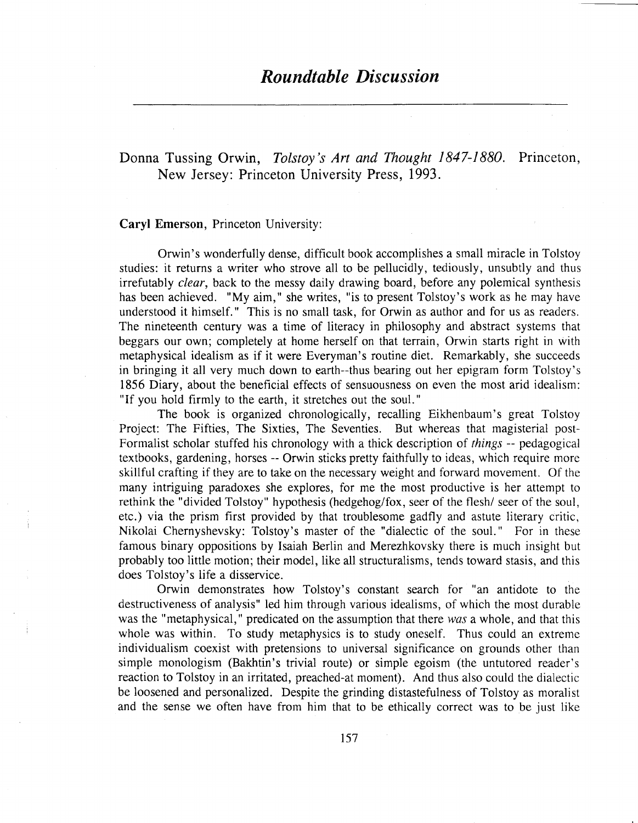# Donna Tussing Orwin, *Tolstoy's Art and Thought 1847-1880*. Princeton, New Jersey: Princeton 1993.

### Caryl Emerson, Princeton University:

Orwin's wonderfully dense, difficult book accomplishes a small miracle in Tolstoy studies: it returns a writer who strove all to be pellucidly, tediously, unsubtly and thus irrefutably *clear,* back to the messy daily drawing board, before any polemical synthesis has been achieved. "My aim," she writes, "is to present Tolstoy's work as he may have understood it himself." This is no small task, for Orwin as author and for us as readers. The nineteenth century was a time of literacy in philosophy and abstract systems that beggars our own; completely at home herself on that terrain, Orwin starts right in with metaphysical idealism as if it were Everyman's routine diet. Remarkably, she succeeds in bringing it all very much down to earth--thus bearing out her epigram form Tolstoy's 1856 Diary, about the beneficial effects of sensuousness on even the most arid idealism: "If you hold firmly to the earth, it stretches out the soul. "

The book is organized chronologically, recalling Eikhenbaum's great Tolstoy Project: The Fifties, The Sixties, The Seventies. But whereas that magisterial post-Formalist scholar stuffed his chronology with a thick description of *things* -- pedagogical textbooks, gardening, horses -- Orwin sticks pretty faithfully to ideas, which require more skillful crafting if they are to take on the necessary weight and forward movement. Of the many intriguing paradoxes she explores, for me the most productive is her attempt to rethink the "divided Tolstoy" hypothesis (hedgehog/fox, seer of the flesh/ seer of the soul, etc.) via the prism first provided by that troublesome gadfly and astute literary critic, Nikolai Chernyshevsky: Tolstoy's master of the "dialectic of the soul." For in these famous binary oppositions by Isaiah Berlin and Merezhkovsky there is much insight but probably too little motion; their model, like all structuralisms, tends toward stasis, and this does Tolstoy's life a disservice.

Orwin demonstrates how Tolstoy's constant search for "an antidote to the destructiveness of analysis" led him through various idealisms, of which the most durable was the "metaphysical," predicated on the assumption that there *was* a whole, and that this whole was within. To study metaphysics is to study oneself. Thus could an extreme individualism coexist with pretensions to universal significance on grounds other than simple monologism (Bakhtin's trivial route) or simple egoism (the untutored reader's reaction to Tolstoy in an irritated, preached-at moment). And thus also could the dialectic be loosened and personalized. Despite the grinding distastefulness of Tolstoy as moralist and the sense we often have from him that to be ethically correct was to be just like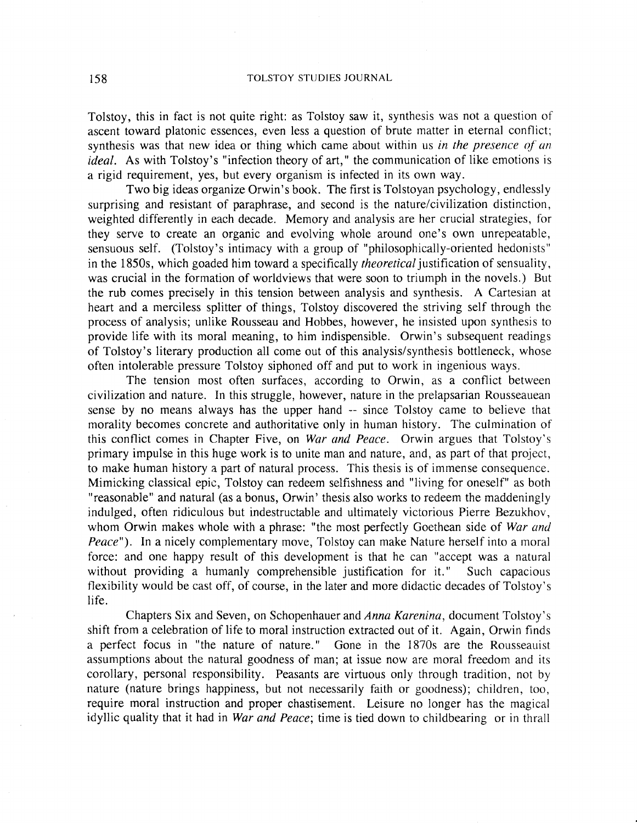Tolstoy, this in fact is not quite right: as Tolstoy saw it, synthesis was not a question of ascent toward platonic essences, even less a question of brute matter in eternal conflict; synthesis was that new idea or thing which came about within us *in the presence of an ideal.* As with Tolstoy's "infection theory of art," the communication of like emotions is a rigid requirement, yes, but every organism is infected in its own way.

Two big ideas organize Orwin's book. The first is Tolstoyan psychology, endlessly surprising and resistant of paraphrase, and second is the nature/civilization distinction, weighted differently in each decade. Memory and analysis are her crucial strategies, for they serve to create an organic and evolving whole around one's own unrepeatable, sensuous self. (Tolstoy's intimacy with a group of "philosophically-oriented hedonists" in the 1850s, which goaded him toward a specifically *theoretical* justification of sensuality, was crucial in the formation of worldviews that were soon to triumph in the novels.) But the rub comes precisely in this tension between analysis and synthesis. A Cartesian at heart and a merciless splitter of things, Tolstoy discovered the striving self through the process of analysis; unlike Rousseau and Hobbes, however, he insisted upon synthesis to provide life with its moral meaning, to him indispensible. Orwin's subsequent readings of Tolstoy's literary production all come out of this analysis/synthesis bottleneck, whose often intolerable pressure Tolstoy siphoned off and put to work in ingenious ways.

The tension most often surfaces, according to Orwin, as a conflict between civilization and nature. In this struggle, however, nature in the prelapsarian Rousseauean sense by no means always has the upper hand -- since Tolstoy came to believe that morality becomes concrete and authoritative only in human history. The culmination of this conflict comes in Chapter Five, on *War and Peace.* Orwin argues that Tolstoy's primary impulse in this huge work is to unite man and nature, and, as part of that project, to make human history a part of natural process. This thesis is of immense consequence. Mimicking classical epic, Tolstoy can redeem selfishness and "living for oneself" as both "reasonable'" and natural (as a bonus, Orwin' thesis also works to redeem the maddeningly indulged, often ridiculous but indestructable and ultimately victorious Pierre Bezukhov, whom Orwin makes whole with a phrase: "the most perfectly Goethean side of *War and Peace*"). In a nicely complementary move, Tolstoy can make Nature herself into a moral force: and one happy result of this development is that he can "accept was a natural without providing a humanly comprehensible justification for it." Such capacious flexibility would be cast off, of course, in the later and more didactic decades of Tolstoy's life.

Chapters Six and Seven, on Schopenhauer and *Anna Karenina,* document Tolstoy's shift from a celebration of life to moral instruction extracted out of it. Again, Orwin finds a perfect focus in "the nature of nature." Gone in the 1870s are the Rousseauist assumptions about the natural goodness of man; at issue now are moral freedom and its corollary, personal responsibility. Peasants are virtuous only through tradition, not by nature (nature brings happiness, but not necessarily faith or goodness); children, too, require moral instruction and proper chastisement. Leisure no longer has the magical idyllic quality that it had in *War and Peace;* time is tied down to childbearing or in thrall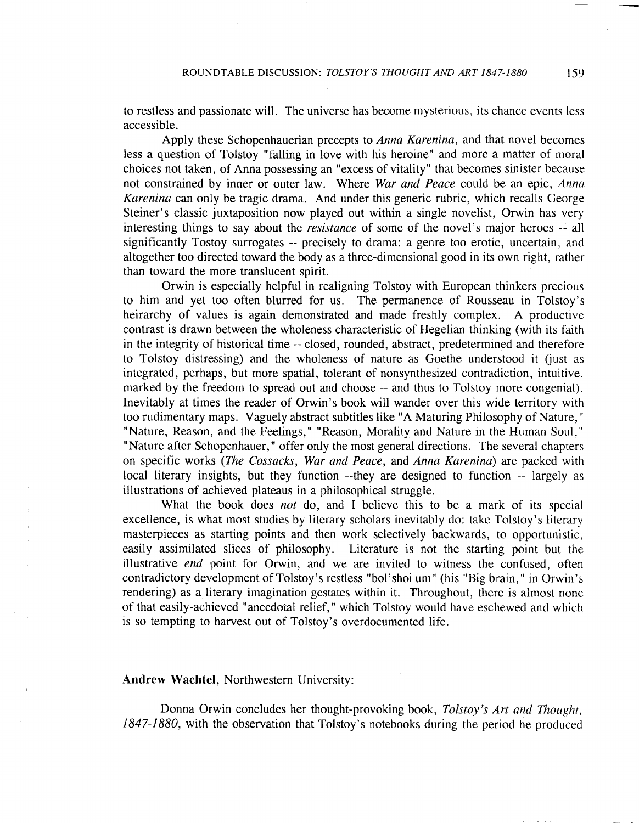to restless and passionate will. The universe has become mysterious, its chance events less accessible.

Apply these Schopenhauerian precepts to *Anna Karenina*, and that novel becomes less a question of Tolstoy "falling in love with his heroine" and more a matter of moral choices not taken, of Anna possessing an "excess of vitality" that becomes sinister because not constrained by inner or outer law. Where War and Peace could be an epic, Anna *Karenina* can only be tragic drama. And under this generic rubric, which recalls George Steiner's classic juxtaposition now played out within a single novelist, Orwin has very interesting things to say about the *resistance* of some of the novel's major heroes **--** all significantly Tostoy surrogates -- precisely to drama: a genre too erotic, uncertain, and altogether too directed toward the body as a three-dimensional good in its own right, rather than toward the more translucent spirit.

Orwin is especially helpful in realigning Tolstoy with European thinkers precious to him and yet too often blurred for us. The permanence of Rousseau in Tolstoy's heirarchy of values is again demonstrated and made freshly complex. A productive contrast is drawn between the wholeness characteristic of Hegelian thinking (with its faith in the integrity of historical time -- closed, rounded, abstract, predetermined and therefore to Tolstoy distressing) and the wholeness of nature as Goethe understood it (just as integrated, perhaps, but more spatial, tolerant of nonsynthesized contradiction, intuitive, marked by the freedom to spread out and choose -- and thus to Tolstoy more congenial). Inevitably at times the reader of Orwin's book will wander over this wide territory with too rudimentary maps. Vaguely abstract subtitles like "A Maturing Philosophy of Nature, " "Nature, Reason, and the Feelings," "Reason, Morality and Nature in the Human Soul," "Nature after Schopenhauer," offer only the most general directions. The several chapters on specific works *(The Cossacks, War and Peace, and Anna Karenina)* are packed with local literary insights, but they function --they are designed to function -- largely as illustrations of achieved plateaus in a philosophical struggle.

What the book does *not* do, and I believe this to be a mark of its special excellence, is what most studies by literary scholars inevitably do: take Tolstoy's literary masterpieces as starting points and then work selectively backwards, to opportunistic, easily assimilated slices of philosophy. Literature is not the starting point but the illustrative *end* point for Orwin, and we are invited to witness the confused, often contradictory development of Tolstoy's restless "bol'shoi um" (his "Big brain," in Orwin's rendering) as a literary imagination gestates within it. Throughout, there is almost none of that easily-achieved "anecdotal relief, " which Tolstoy would have eschewed and which is so tempting to harvest out of Tolstoy's overdocumented life.

# Andrew Wachtel, Northwestern University:

Donna Orwin concludes her thought-provoking book, *Tolstoy's Art and Thought*, 1847-1880, with the observation that Tolstoy's notebooks during the period he produced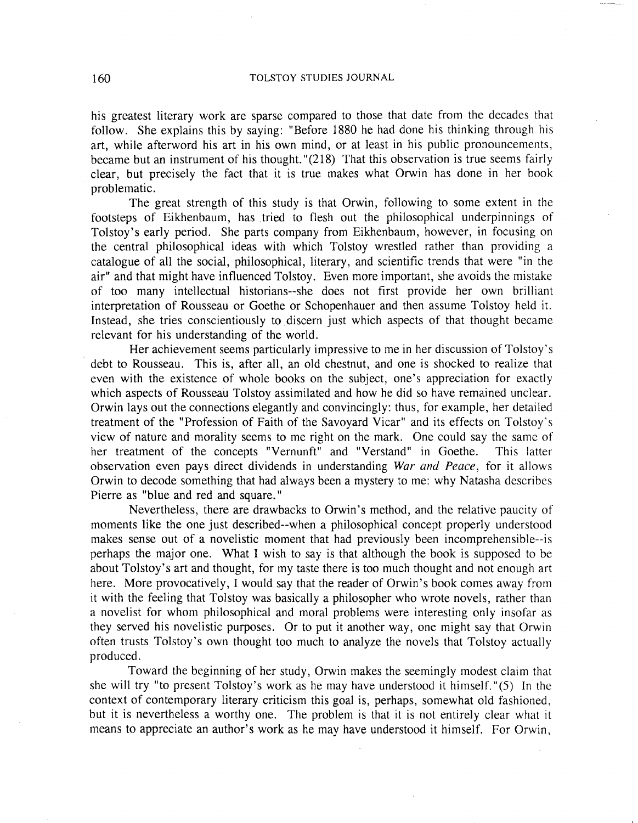his greatest literary work are sparse compared to those that date from the decades that follow. She explains this by saying: "Before 1880 he had done his thinking through his art, while afterword his art in his own mind, or at least in his public pronouncements, became but an instrument of his thought. "(218) That this observation is true seems fairly clear, but precisely the fact that it is true makes what Orwin has done in her book problematic.

The great strength of this study is that Orwin, following to some extent in the footsteps of Eikhenbaum, has tried to flesh out the philosophical underpinnings of Tolstoy's early period. She parts company from Eikhenbaum, however, in focusing on the central philosophical ideas with which Tolstoy wrestled rather than providing a catalogue of all the social, philosophical, literary, and scientific trends that were "in the air" and that might have influenced Tolstoy. Even more important, she avoids the mistake of too many intellectual historians--she does not first provide her own brilliant interpretation of Rousseau or Goethe or Schopenhauer and then assume Tolstoy held it. Instead, she tries conscientiously to discern just which aspects of that thought became relevant for his understanding of the world.

Her achievement seems particularly impressive to me in her discussion of Tolstoy's . debt to Rousseau. This is, after all, an old chestnut, and one is shocked to realize that even with the existence of whole books on the subject, one's appreciation for exactly which aspects of Rousseau Tolstoy assimilated and how he did so have remained unclear. Orwin lays out the connections elegantly and convincingly: thus, for example, her detailed treatment of the "Profession of Faith of the Savoyard Vicar" and its effects on Tolstoy's view of nature and morality seems to me right on the mark. One could say the same of her treatment of the concepts "Vernunft" and "Verstand" in Goethe. This latter observation even pays direct dividends in understanding War and Peace, for it allows Orwin to decode something that had always been a mystery to me: why Natasha describes Pierre as "blue and red and square."

Nevertheless, there are drawbacks to Orwin's method, and the relative paucity of moments like the one just described--when a philosophical concept properly understood makes sense out of a novelistic moment that had previously been incomprehensible--is perhaps the major one. What I wish to say is that although the book is supposed to be about Tolstoy's art and thought, for my taste there is too much thought and not enough art here. More provocatively, I would say that the reader of Orwin's book comes away from it with the feeling that Tolstoy was basically a philosopher who wrote novels, rather than a novelist for whom philosophical and moral problems were interesting only insofar as they served his novelistic purposes. Or to put it another way, one might say that Orwin often trusts Tolstoy's own thought too much to analyze the novels that Tolstoy actually produced.

Toward the beginning of her study, Orwin makes the seemingly modest claim that she will try "to present Tolstoy's work as he may have understood it himself. "(5) In the context of contemporary literary criticism this goal is, perhaps, somewhat old fashioned, but it is nevertheless a worthy one. The problem is that it is not entirely clear what it means to appreciate an author's work as he may have understood it himself. For Orwin,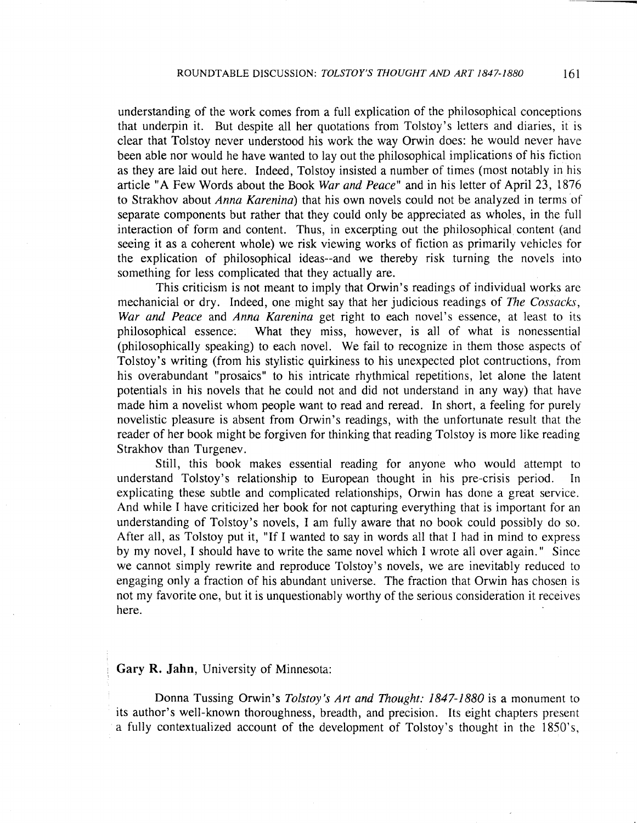understanding of the work comes from a full explication of the philosophical conceptions that underpin it. But despite all her quotations from Tolstoy's letters and diaries, it is clear that Tolstoy never understood his work the way Orwin does: he would never have been able nor would he have wanted to lay out the philosophical implications of his fiction as they are laid out here. Indeed, Tolstoy insisted a number of times (most notably in his article "A Few Words about the Book War *and* Peace" and in his letter of April 23, 1876 to Strakhov about Anna Karenina) that his own novels could not be analyzed in terms of separate components but rather that they could only be appreciated as wholes, in the full interaction of form and content. Thus, in excerpting out the philosophical content (and seeing it as a coherent whole) we risk viewing works of fiction as primarily vehicles for the explication of philosophical ideas--and we thereby risk turning the novels into something for less complicated that they actually are.

This criticism is not meant to imply that Orwin's readings of individual works are mechanicial or dry. Indeed, one might say that her judicious readings of *The Cossacks,* War and Peace and Anna Karenina get right to each novel's essence, at least to its philosophical essence: What they miss, however, is all of what is nonessential (philosophically speaking) to each novel. We fail to recognize in them those aspects of Tolstoy's writing (from his stylistic quirkiness to his unexpected plot contructions, from his overabundant "prosaics" to his intricate rhythmical repetitions, let alone the latent potentials in his novels that he could not and did not understand in any way) that have made him a novelist whom people want to read and reread. In short, a feeling for purely novelistic pleasure is absent from Orwin's readings, with the unfortunate result that the reader of her book might be forgiven for thinking that reading Tolstoy is more like reading Strakhov than Turgenev.

Still, this book makes essential reading for anyone who would attempt to understand Tolstoy's relationship to European thought in his pre-crisis period. In explicating these subtle and complicated relationships, Orwin has done a great service. And while I have criticized her book for not capturing everything that is important for an understanding of Tolstoy's novels, I am fully aware that no book could possibly do so. After all, as Tolstoy put it, "If I wanted to say in words all that I had in mind to express by my novel, I should have to write the same novel which I wrote all over again." Since we cannot simply rewrite and reproduce Tolstoy's novels, we are inevitably reduced to engaging only a fraction of his abundant universe. The fraction that Orwin has chosen is not my favorite one, but it is unquestionably worthy of the serious consideration it receives here.

# Gary R. Jahn, University of Minnesota:

Donna Tussing Orwin's *Tolstoy's Art* and *Thought: 1847-1880* is a monument to its author's well-known thoroughness, breadth, and precision. Its eight chapters present a fully contextualized account of the development of Tolstoy's thought in the 1850's,

**A**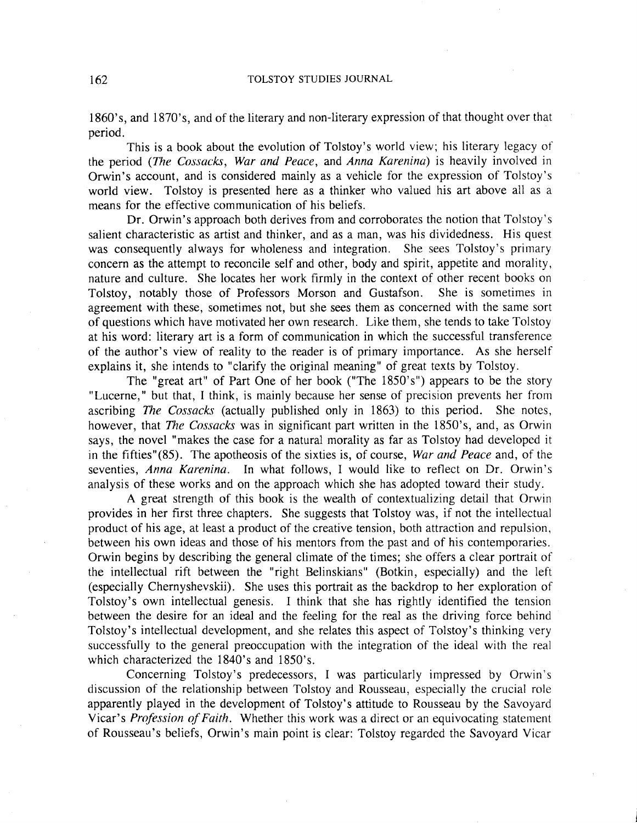1860's, and 1870's, and of the literary and non-literary expression of that thought over that period.

This is a book about the evolution of Tolstoy's world view; his literary legacy of the period *(The Cossacks, War and Peace,* and *Anna Karenina)* is heavily involved in Orwin's account, and is considered mainly as a vehicle for the expression of Tolstoy's world view. Tolstoy is presented here as a thinker who valued his art above all as a means for the effective communication of his beliefs.

Dr. Orwin's approach both derives from and corroborates the notion that Tolstoy's salient characteristic as artist and thinker, and as a man, was his dividedness. His quest was consequently always for wholeness and integration. She sees Tolstoy's primary concern as the attempt to reconcile self and other, body and spirit, appetite and morality, nature and culture. She locates her work firmly in the context of other recent books on Tolstoy, notably those of Professors Morson and Gustafson. She is sometimes in agreement with these, sometimes not, but she sees them as concerned with the same sort of questions which have motivated her own research. Like them, she tends to take Tolstoy at his word: literary art is a form of communication in which the successful transference of the author's view of reality to the reader is of primary importance. As she herself explains it, she intends to "clarify the original meaning" of great texts by Tolstoy.

The "great art" of Part One of her book ("The 1850's") appears to be the story "Lucerne," but that, I think, is mainly because her sense of precision prevents her from ascribing *The Cossacks* (actually published only in 1863) to this period. She notes, however, that *The Cossacks* was in significant part written in the 1850's, and, as Orwin says, the novel "makes the case for a natural morality as far as Tolstoy had developed it in the fifties"(85). The apotheosis of the sixties is, of course, *War and Peace* and, of the seventies, *Anna Karenina*. In what follows, I would like to reflect on Dr. Orwin's analysis of these works and on the approach which she has adopted toward their study.

A great strength of this book is the wealth of contextualizing detail that Orwin provides in her first three chapters. She suggests that Tolstoy was, if not the intellectual product of his age, at least a product of the creative tension, both attraction and repulsion, between his own ideas and those of his mentors from the past and of his contemporaries. Orwin begins by describing the general climate of the times; she offers a clear portrait of the intellectual rift between the "right Belinskians" (Botkin, especially) and the left (especially Chernyshevskii). She uses this portrait as the backdrop to her exploration of Tolstoy's own intellectual genesis. I think that she has rightly identified the tension between the desire for an ideal and the feeling for the real as the driving force behind Tolstoy's intellectual development, and she relates this aspect of Tolstoy's thinking very successfully to the general preoccupation with the integration of the ideal with the real which characterized the 1840's and 1850's.

Concerning Tolstoy's predecessors, I was particularly impressed by Orwin's discussion of the relationship between Tolstoy and Rousseau, especially the crucial role apparently played in the development of Tolstoy's attitude to Rousseau by the Savoyard Vicar's *Profession of Faith*. Whether this work was a direct or an equivocating statement of Rousseau's beliefs, Orwin's main point is clear: Tolstoy regarded the Savoyard Vicar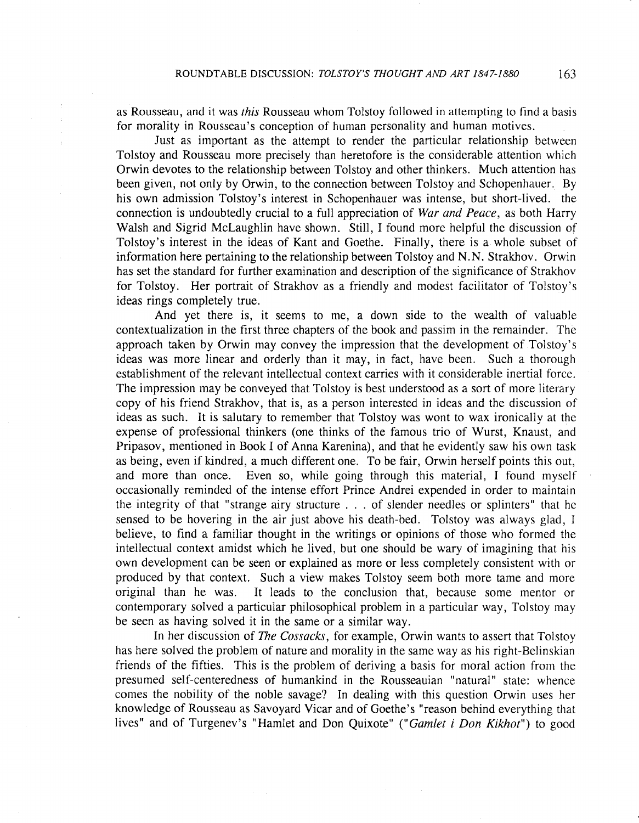as Rousseau, and it was *this* Rousseau whom Tolstoy followed in attempting to find a basis for morality in Rousseau's conception of human personality and human motives.

Just as important as the attempt to render the particular relationship between Tolstoy and Rousseau more precisely than heretofore is the considerable attention which Orwin devotes to the relationship between Tolstoy and other thinkers. Much attention has been given, not only by Orwin, to the connection between Tolstoy and Schopenhauer. By his own admission Tolstoy's interest in Schopenhauer was intense, but short-lived. the connection is undoubtedly crucial to a full appreciation of *War and Peace,* as both Harry Walsh and Sigrid McLaughlin have shown. Still, I found more helpful the discussion of Tolstoy's interest in the ideas of Kant and Goethe. Finally, there is a whole subset of information here pertaining to the relationship between Tolstoy and N. N. Strakhov. Orwin has set the standard for further examination and description of the significance of Strakhov for Tolstoy. Her portrait of Strakhov as a friendly and modest facilitator of Tolstoy's ideas rings completely true.

And yet there is, it seems to me, a down side to the wealth of valuable contextualization in the first three chapters of the book and passim in the remainder. The approach taken by Orwin may convey the impression that the development of Tolstoy's ideas was more linear and orderly than it may, in fact, have been. Such a thorough establishment of the relevant intellectual context carries with it considerable inertial force. The impression may be conveyed that Tolstoy is best understood as a sort of more literary copy of his friend Strakhov, that is, as a person interested in ideas and the discussion of ideas as such. It is salutary to remember that Tolstoy was wont to wax ironically at the expense of professional thinkers (one thinks of the famous trio of Wurst, Knaust, and Pripasov, mentioned in Book I of Anna Karenina), and that he evidently saw his own task as being, even if kindred, a much different one. To be fair, Orwin herself points this out, and more than once. Even so, while going through this material, I found myself occasionally reminded of the intense effort Prince Andrei expended in order to maintain the integrity of that "strange airy structure . . . of slender needles or splinters" that he sensed to be hovering in the air just above his death-bed. Tolstoy was always glad, I believe, to find a familiar thought in the writings or opinions of those who formed the intellectual context amidst which he lived, but one should be wary of imagining that his own development can be seen or explained as more or less completely consistent with or produced by that context. Such a view makes Tolstoy seem both more tame and more original than he was. It leads to the conclusion that, because some mentor or contemporary solved a particular philosophical problem in a particular way, Tolstoy may be seen as having solved it in the same or a similar way.

In her discussion of *The Cossacks*, for example, Orwin wants to assert that Tolstoy has here solved the problem of nature and morality in the same way as his right-Belinskian friends of the fifties. This is the problem of deriving a basis for moral action from the, presumed self-centeredness of humankind in the Rousseauian "natural" state: whence comes the nobility of the noble savage? In dealing with this question Orwin uses her knowledge of Rousseau as Savoyard Vicar and of Goethe's "reason behind everything that lives" and of Turgenev's "Hamlet and Don Quixote" *("Gamlet* i *Don Kikhot")* to good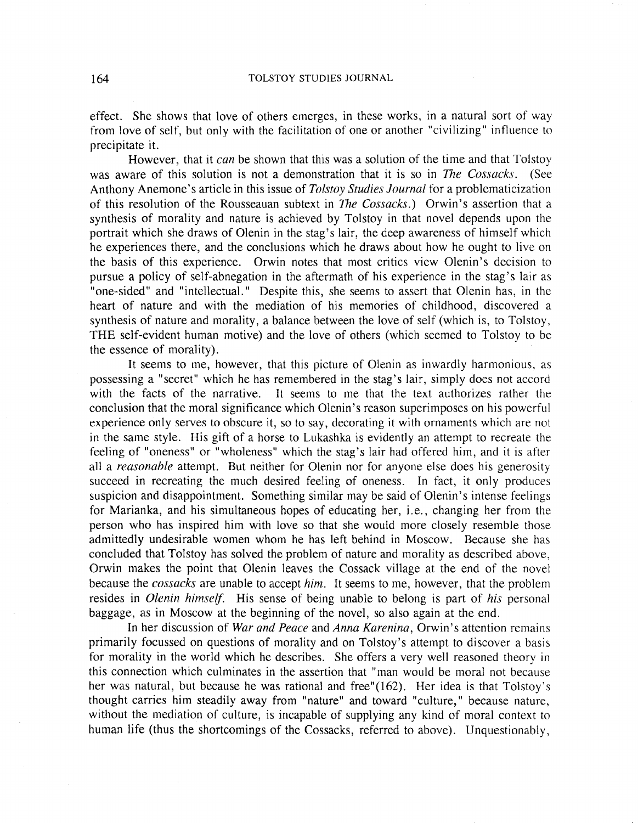effect. She shows that love of others emerges, in these works, in a natural sort of way from love of self, but only with the facilitation of one or another "civilizing" influence to precipitate it.

However, that it *can* be shown that this was a solution of the time and that Tolstoy was aware of this solution is not a demonstration that it is so in *The Cossacks.* (See Anthony Anemone's article in this issue of *Tolstoy Studies Journal* for a problematicization of this resolution of the Rousseauan subtext in *The Cossacks.)* Orwin's assertion that a synthesis of morality and nature is achieved by Tolstoy in that novel depends upon the portrait which she draws of Olenin in the stag's lair, the deep awareness of himself which he experiences there, and the conclusions which he draws about how he ought to live on the basis of this experience. Orwin notes that most critics view Olenin's decision to pursue a policy of self-abnegation in the aftermath of his experience in the stag's lair as "one-sided" and "intellectual." Despite this, she seems to assert that Olenin has, in the heart of nature and with the mediation of his memories of childhood, discovered a synthesis of nature and morality, a balance between the love of self (which is, to Tolstoy, THE self-evident human motive) and the love of others (which seemed to Tolstoy to be the essence of morality).

It seems to me, however, that this picture of Olenin as inwardly harmonious, as possessing a "secret" which he has remembered in the stag's lair, simply does not accord with the facts of the narrative. It seems to me that the text authorizes rather the conclusion that the moral significance which Olenin 's reason superimposes on his powerful experience only serves to obscure it, so to say, decorating it with ornaments which are not in the same style. His gift of a horse to Lukashka is evidently an attempt to recreate the feeling of "oneness" or "wholeness" which the stag's lair had offered him, and it is after all a *reasonable* attempt. But neither for Olenin nor for anyone else does his generosity succeed in recreating the much desired feeling of oneness. In fact, it only produces suspicion and disappointment. Something similar may be said of Olenin's intense feelings for Marianka, and his simultaneous hopes of educating her, i.e., changing her from the person who has inspired him with love so that she would more closely resemble those admittedly undesirable women whom he has left behind in Moscow. Because she has concluded that Tolstoy has solved the problem of nature and morality as described above, Orwin makes the point that Olenin leaves the Cossack village at the end of the novel because the *cossacks* are unable to accept *him.* It seems to me, however, that the problem resides in *Olenin himself.* His sense of being unable to belong is part of *his* personal baggage, as in Moscow at the beginning of the novel, so also again at the end.

In her discussion of *War and Peace* and *Anna Karenina*, Orwin's attention remains primarily focussed on questions of morality and on Tolstoy's attempt to discover a basis for morality in the world which he describes. She offers a very well reasoned theory in this connection which culminates in the assertion that "man would be moral not because her was natural, but because he was rational and free"(162). Her idea is that Tolstoy's thought carries him steadily away from "nature" and toward "culture," because nature, without the mediation of culture, is incapable of supplying any kind of moral context to human life (thus the shortcomings of the Cossacks, referred to above). Unquestionably,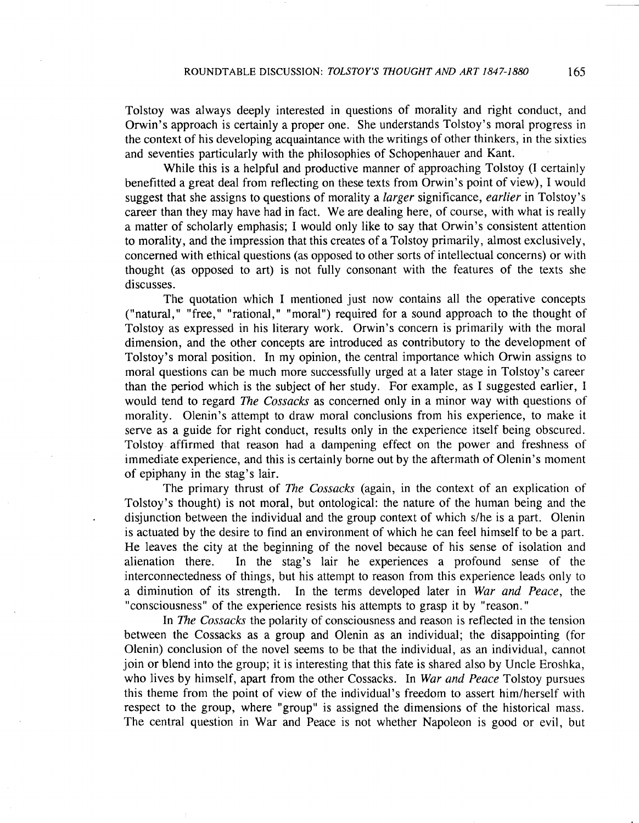Tolstoy was always deeply interested in questions of morality and right conduct, and Orwin's approach is certainly a proper one. She understands Tolstoy's moral progress in the context of his developing acquaintance with the writings of other thinkers, in the sixties and seventies particularly with the philosophies of Schopenhauer and Kant.

While this is a helpful and productive manner of approaching Tolstoy (1 certainly benefitted a great deal from reflecting on these texts from Orwin's point of view), I would suggest that she assigns to questions of morality a *larger* significance, *earlier* in Tolstoy's career than they may have had in fact. We are dealing here, of course, with what is really a matter of scholarly emphasis; I would only like to say that Orwin's consistent attention to morality, and the impression that this creates of a Tolstoy primarily, almost exclusively, concerned with ethical questions (as opposed to other sorts of intellectual concerns) or with thought (as opposed to art) is not fully consonant with the features of the texts she discusses.

The quotation which I mentioned just now contains all the operative concepts (nnatural," "free," "rational," "moral") required for a sound approach to the thought of Tolstoy as expressed in his literary work. Orwin's concern is primarily with the moral dimension, and the other concepts are introduced as contributory to the development of Tolstoy's moral position. In my opinion, the central importance which Orwin assigns to moral questions can be much more successfully urged at a later stage in Tolstoy's career than the period which is the subject of her study. For example, as 1 suggested earlier, I would tend to regard *The Cossacks* as concerned only in a minor way with questions of morality. Olenin's attempt to draw moral conclusions from his experience, to make it serve as a guide for right conduct, results only in the experience itself being obscured. Tolstoy, affirmed that reason had a dampening effect on the power and freshness of immediate experience, and this is certainly borne out by the aftermath of Olenin's moment of epiphany in the stag's lair.

The primary thrust of *The Cossacks* (again, in the context of an explication of Tolstoy's thought) is not moral, but ontological: the nature of the human being and the disjunction between the individual and the group context of which s/he is a part. Olenin is actuated by the desire to find an environment of which he can feel himself to be a part. He leaves the city at the beginning of the novel because of his sense of isolation and alienation there. In the stag's lair he experiences a profound sense of the interconnectedness of things, but his attempt to reason from this experience leads only to a diminution of its strength. In the terms developed later in *War and Peace,* the "consciousness" of the experience resists his attempts to grasp it by "reason."

In *The Cossacks* the polarity of consciousness and reason is reflected in the tension between the Cossacks as a group and Olenin as an individual; the disappointing (for Olenin) conclusion of the novel seems to be that the individual, as an individual, cannot join or blend into the group; it is interesting that this fate is shared also by Uncle Eroshka, who lives by himself, apart from the other Cossacks. In *War and Peace* Tolstoy pursues this theme from the point of view of the individual's freedom to assert him/herself with respect to the group, where "group" is assigned the dimensions of the historical mass. The central question in War and Peace is not whether Napoleon is good or evil, but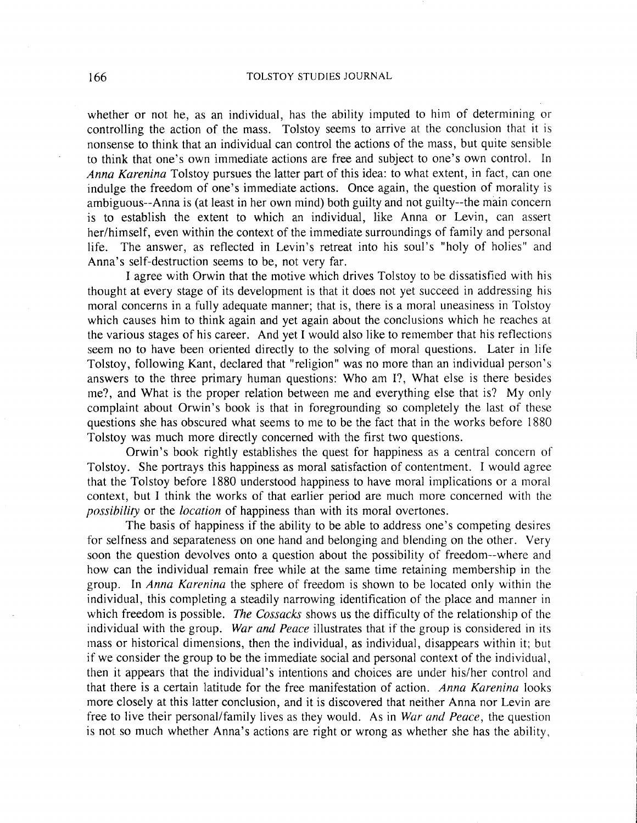whether or not he, as an individual, has the ability imputed to him of determining or controlling the action of the mass. Tolstoy seems to arrive at the conclusion that it is nonsense to think that an individual can control the actions of the mass, but quite sensible to think that one's own immediate actions are free and subject to one's own control. In *Anna Karenina* Tolstoy pursues the latter part of this idea: to what extent, in fact, can one indulge the freedom of one's immediate actions. Once again, the question of morality is ambiguous--Anna is (at least in her own mind) both guilty and not guilty--the main concern is to establish the extent to which an individual, like Anna or Levin, can assert her/himself, even within the context of the immediate surroundings of family and personal life. The answer, as reflected in Levin's retreat into his soul's "holy of holies" and Anna's self-destruction seems to be, not very far.

I agree with Orwin that the motive which drives Tolstoy to be dissatisfied with his thought at every stage of its development is that it does not yet succeed in addressing his moral concerns in a fully adequate manner; that is, there is a moral uneasiness in Tolstoy which causes him to think again and yet again about the conclusions which he reaches at the various stages of his career. And yet I would also like to remember that his reflections seem no to have been oriented directly to the solving of moral questions. Later in life Tolstoy, following Kant, declared that "religion" was no more than an individual person's answers to the three primary human questions: Who am I?, What else is there besides me?, and What is the proper relation between me and everything else that is? My only complaint about Orwin's book is that in foregrounding so completely the last of these questions she has obscured what seems to me to be the fact that in the works before 1880 Tolstoy was much more directly concerned with the first two questions.

Orwin's book rightly establishes the quest for happiness as a central concern of Tolstoy. She portrays this happiness as moral satisfaction of contentment. 1 would agree that the Tolstoy before 1880 understood happiness to have moral implications or a moral context, but I think the works of that earlier period are much more concerned with the *possibility* or the *location* of happiness than with its moral overtones.

The basis of happiness if the ability to be able to address one's competing desires for selfness and separateness on one hand and belonging and blending on the other. Very soon the question devolves onto a question about the possibility of freedom--where and how can the individual remain free while at the same time retaining membership in the group. In *Anna Karenina* the sphere of freedom is shown to be located only within the individual, this completing a steadily narrowing identification of the place and manner in which freedom is possible. *The Cossacks* shows us the difficulty of the relationship of the individual with the group. *War and Peace* illustrates that if the group is considered in its mass or historical dimensions, then the individual, as individual, disappears within it; but if we consider the group to be the immediate social and personal context of the individual, then it appears that the individual's intentions and choices are under his/her control and that there is a certain latitude for the free manifestation of action. *Anna Karenina* looks more closely at this latter conclusion, and it is discovered that neither Anna nor Levin are free to live their personal/family lives as they would. As in *War and Peace,* the question is not so much whether Anna's actions are right or wrong as whether she has the ability,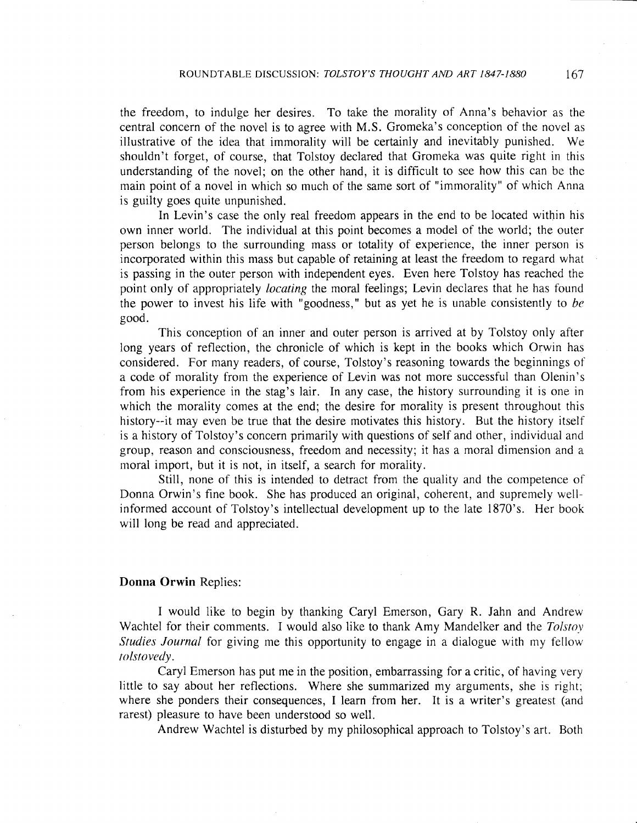the freedom, to indulge her desires. To take the morality of Anna's behavior as the central concern of the novel is to agree with M.S. Gromeka's conception of the novel as illustrative of the idea that immorality will be certainly and inevitably punished. We shouldn't forget, of course, that Tolstoy declared that Gromeka was quite right in this understanding of the novel; on the other hand, it is difficult to see how this can be the main point of a novel in which so much of the same sort of "immorality" of which Anna is guilty goes quite unpunished.

In Levin's case the only real freedom appears in the end to be located within his own inner world. The individual at this point becomes a model of the world; the outer person belongs to the surrounding mass or totality of experience, the inner person is incorporated within this mass but capable of retaining at least the freedom to regard what is passing in the outer person with independent eyes. Even here Tolstoy has reached the point only of appropriately *locating* the moral feelings; Levin declares that he has found the power to invest his life with "goodness," but as yet he is unable consistently to *be* good.

This conception of an inner and outer person is arrived at by Tolstoy only after long years of reflection, the chronicle of which is kept in the books which Orwin has considered. For many readers, of course, Tolstoy's reasoning towards the beginnings of a code of morality from the experience of Levin was not more successful than Olenin's from his experience in the stag's lair. In any case, the history surrounding it is one in which the morality comes at the end; the desire for morality is present throughout this history--it may even be true that the desire motivates this history. But the history itself is a history of Tolstoy's concern primarily with questions of self and other, individual and group, reason and consciousness, freedom and necessity; it has a moral dimension and a moral import, but it is not, in itself, a search for morality.

Still, none of this is intended to detract from the quality and the competence of Donna Orwin's fine book. She has produced an original, coherent, and supremely wellinformed account of Tolstoy's intellectual development up to the late 1870's. Her book will long be read and appreciated.

# Donna Orwin Replies:

I would like to begin by thanking Caryl Emerson, Gary R. Jahn and Andrew Wachtel for their comments. I would also like to thank Amy Mandelker and the Tolstoy *Studies Journal* for giving me this opportunity to engage in a dialogue with my fellow folstovedy.

Caryl Emerson has put me in the position, embarrassing for a critic, of having very little to say about her reflections. Where she summarized my arguments, she is right; where she ponders their consequences, I learn from her. It is a writer's greatest (and rarest) pleasure to have been understood so well.

Andrew Wachtel is disturbed by my philosophical approach to Tolstoy's art. Both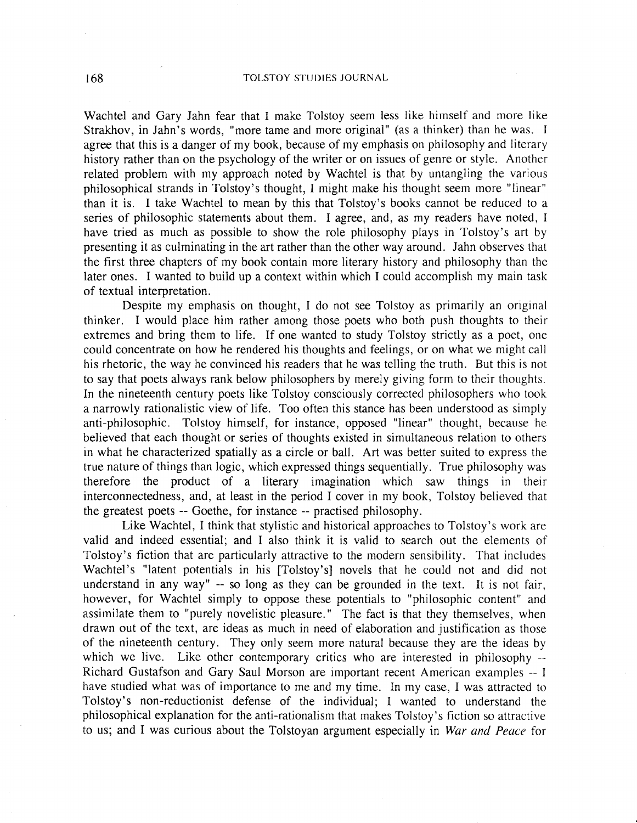Wachtel and Gary Jahn fear that I make Tolstoy seem less like himself and more like Strakhov, in Jahn's words, "more tame and more original" (as a thinker) than he was. I agree that this is a danger of my book, because of my emphasis on philosophy and literary history rather than on the psychology of the writer or on issues of genre or style. Another related problem with my approach noted by Wachtel is that by untangling the various philosophical strands in Tolstoy's thought, I might make his thought seem more "linear" than it is. I take Wachtel to mean by this that Tolstoy's books cannot be reduced to a series of philosophic statements about them. I agree, and, as my readers have noted, I have tried as much as possible to show the role philosophy plays in Tolstoy's art by presenting it as culminating in the art rather than the other way around. Jahn observes that the first three chapters of my book contain more literary history and philosophy than the later ones. I wanted to build up a context within which I could accomplish my main task of textual interpretation.

Despite my emphasis on thought, I do not see Tolstoy as primarily an original thinker. I would place him rather among those poets who both push thoughts to their extremes and bring them to life. If one wanted to study Tolstoy strictly as a poet, one could concentrate on how he rendered his thoughts and feelings, or on what we might call his rhetoric, the way he convinced his readers that he was telling the truth. But this is not to say that poets always rank below philosophers by merely giving form to their thoughts. In the nineteenth century poets like Tolstoy consciously corrected philosophers who took a narrowly rationalistic view of life. Too often this stance has been understood as simply anti-philosophic. Tolstoy himself, for instance, opposed "linear" thought, because he believed that each thought or series of thoughts existed in simultaneous relation to others in what he characterized spatially as a circle or ball. Art was better suited to express the true nature of things than logic, which expressed things sequentially. True philosophy was therefore the product of a literary imagination which saw things in their interconnectedness, and, at least in the period I cover in my book, Tolstoy believed that the greatest poets -- Goethe, for instance -- practised philosophy.

Like Wachtel, I think that stylistic and historical approaches to Tolstoy's work are valid and indeed essential; and I also think it is valid to search out the elements of Tolstoy's fiction that are particularly attractive to the modern sensibility. That includes Wachtel's "latent potentials in his [Tolstoy's] novels that he could not and did not understand in any way" -- so long as they can be grounded in the text. It is not fair, however, for Wachtel simply to oppose these potentials to "philosophic content" and assimilate them to "purely novelistic pleasure." The fact is that they themselves, when drawn out of the text, are ideas as much in need of elaboration and justification as those of the nineteenth century. They only seem more natural because they are the ideas by which we live. Like other contemporary critics who are interested in philosophy --Richard Gustafson and Gary Saul Morson are important recent American examples -- I have studied what was of importance to me and my time. In my case, I was attracted to Tolstoy's non-reductionist defense of the individual; I wanted to understand the philosophical explanation for the anti-rationalism that makes Tolstoy's fiction so attractive to us; and I was curious about the Tolstoyan argument especially in *War ana Peace* for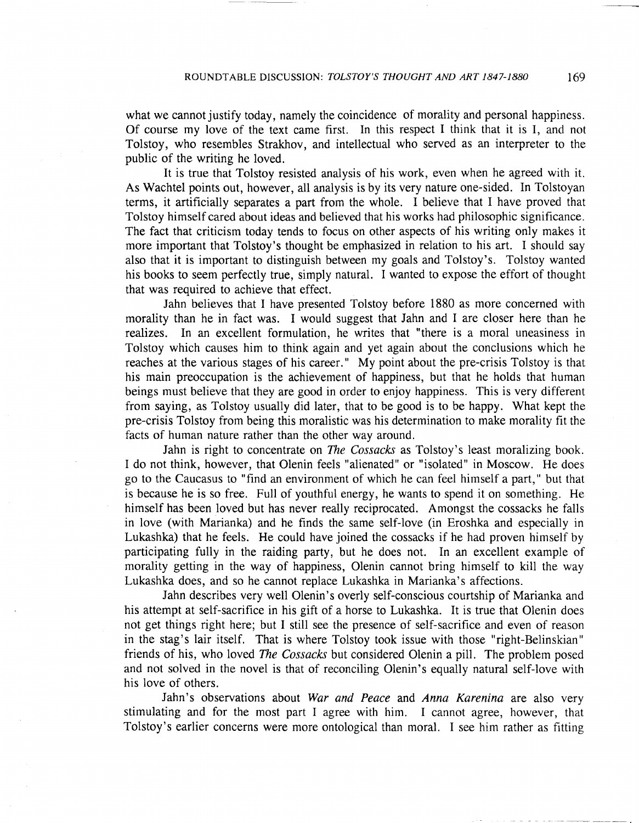what we cannot justify today, namely the coincidence of morality and personal happiness. Of course my love of the text came first. In this respect I think that it is I, and not Tolstoy, who resembles Strakhov, and intellectual who served as an interpreter to the public of the writing he loved.

It is true that Tolstoy resisted analysis of his work, even when he agreed with it. As Wachtel points out, however, all analysis is by its very nature one-sided. In Tolstoyan terms, it artificially separates a part from the whole. I believe that I have proved that Tolstoy himself cared about ideas and believed that his works had philosophic significance. The fact that criticism today tends to focus on other aspects of his writing only makes it more important that Tolstoy's thought be emphasized in relation to his art. I should say also that it is important to distinguish between my goals and Tolstoy's. Tolstoy wanted his books to seem perfectly true, simply natural. I wanted to expose the effort of thought that was required to achieve that effect.

Jahn believes that I have presented Tolstoy before 1880 as more concerned with morality than he in fact was. I would suggest that Jahn and I are closer here than he realizes. In an excellent formulation, he writes that "there is a moral uneasiness in Tolstoy which causes him to think again and yet again about the conclusions which he reaches at the various stages of his career." My point about the pre-crisis Tolstoy is that his main preoccupation is the achievement of happiness, but that he holds that human beings must believe that they are good in order to enjoy happiness. This is very different from saying, as Tolstoy usually did later, that to be good is to be happy. What kept the pre-crisis Tolstoy from being this moralistic was his determination to make morality fit the facts of human nature rather than the other way around.

Jahn is right to concentrate on *The Cossacks* as Tolstoy's least moralizing book. I do not think, however, that Olenin feels "alienated" or "isolated" in Moscow. He does go to the Caucasus to "find an environment of which he can feel himself a part," but that is because he is so free. Full of youthful energy, he wants to spend it on something. He himself has been loved but has never really reciprocated. Amongst the cossacks he falls in love (with Marianka) and he finds the same self-love (in Eroshka and especially in Lukashka) that he feels. He could have joined the cossacks if he had proven himself by participating fully in the raiding party, but he does not. In an excellent example of morality getting in the way of happiness, Olenin cannot bring himself to kill the way Lukashka does, and so he cannot replace Lukashka in Marianka's affections.

Jahn describes very well Olenin's overly self-conscious courtship of Marianka and his attempt at self-sacrifice in his gift of a horse to Lukashka. It is true that Olenin does not get things right here; but I still see the presence of self-sacrifice and even of reason in the stag's lair itself. That is where Tolstoy took issue with those "right-Belinskian" friends of his, who loved *The Cossacks* but considered Olenin a pill. The problem posed and not solved in the novel is that of reconciling Olenin's equally natural self-love with his love of others.

Jahn's observations about War and Peace and Anna Karenina are also very stimulating and for the most part I agree with him. I cannot agree, however, that Tolstoy's earlier concerns were more ontological than moral. I see him rather as fitting